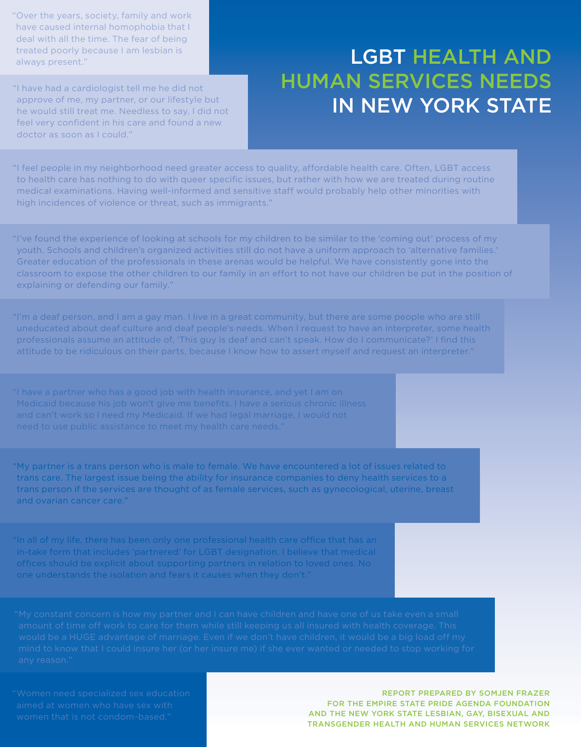"Over the years, society, family and work have caused internal homophobia that I deal with all the time. The fear of being treated poorly because I am lesbian is always present."

"I have had a cardiologist tell me he did not approve of me, my partner, or our lifestyle but he would still treat me. Needless to say, I did not feel very confident in his care and found a new doctor as soon as I could."

# LGBT Health and Human Services Needs in New York State

"I feel people in my neighborhood need greater access to quality, affordable health care. Often, LGBT access to health care has nothing to do with queer specific issues, but rather with how we are treated during routine medical examinations. Having well-informed and sensitive staff would probably help other minorities with high incidences of violence or threat, such as immigrants."

"I've found the experience of looking at schools for my children to be similar to the 'coming out' process of my youth. Schools and children's organized activities still do not have a uniform approach to 'alternative families.' Greater education of the professionals in these arenas would be helpful. We have consistently gone into the classroom to expose the other children to our family in an effort to not have our children be put in the position of explaining or defending our family."

"I'm a deaf person, and I am a gay man. I live in a great community, but there are some people who are still uneducated about deaf culture and deaf people's needs. When I request to have an interpreter, some health professionals assume an attitude of, 'This guy is deaf and can't speak. How do I communicate?' I find this attitude to be ridiculous on their parts, because I know how to assert myself and request an interpreter."

Medicaid because his job won't give me benefits. I have a serious chronic illness and can't work so I need my Medicaid. If we had legal marriage, I would not

"My partner is a trans person who is male to female. We have encountered a lot of issues related to trans care. The largest issue being the ability for insurance companies to deny health services to a trans person if the services are thought of as female services, such as gynecological, uterine, breast and ovarian cancer care."

"In all of my life, there has been only one professional health care office that has an in-take form that includes 'partnered' for LGBT designation. I believe that medical offices should be explicit about supporting partners in relation to loved ones. No one understands the isolation and fears it causes when they don't."

Report Prepared by Somjen Frazer for the Empire State Pride Agenda foundation and the New York State Lesbian, Gay, Bisexual and Transgender Health and Human Services Network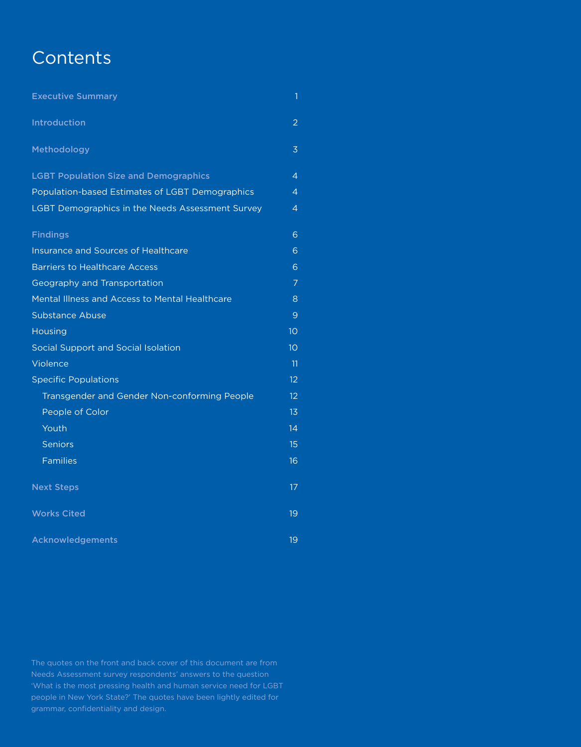## **Contents**

| <b>Executive Summary</b>                                | 1               |
|---------------------------------------------------------|-----------------|
| <b>Introduction</b>                                     | 2               |
| Methodology                                             | 3               |
| <b>LGBT Population Size and Demographics</b>            | $\overline{4}$  |
| Population-based Estimates of LGBT Demographics         | $\overline{4}$  |
| <b>LGBT Demographics in the Needs Assessment Survey</b> | 4               |
| <b>Findings</b>                                         | 6               |
| <b>Insurance and Sources of Healthcare</b>              | 6               |
| <b>Barriers to Healthcare Access</b>                    | 6               |
| Geography and Transportation                            | $\overline{7}$  |
| Mental Illness and Access to Mental Healthcare          | 8               |
| <b>Substance Abuse</b>                                  | 9               |
| <b>Housing</b>                                          | 10 <sup>°</sup> |
| Social Support and Social Isolation                     | 10 <sup>°</sup> |
| Violence                                                | 11              |
| <b>Specific Populations</b>                             | 12              |
| Transgender and Gender Non-conforming People            | 12              |
| People of Color                                         | 13              |
| Youth                                                   | 14              |
| <b>Seniors</b>                                          | 15              |
| <b>Families</b>                                         | 16              |
| <b>Next Steps</b>                                       | 17              |
| <b>Works Cited</b>                                      | 19              |
| Acknowledgements                                        | 19              |

Needs Assessment survey respondents' answers to the question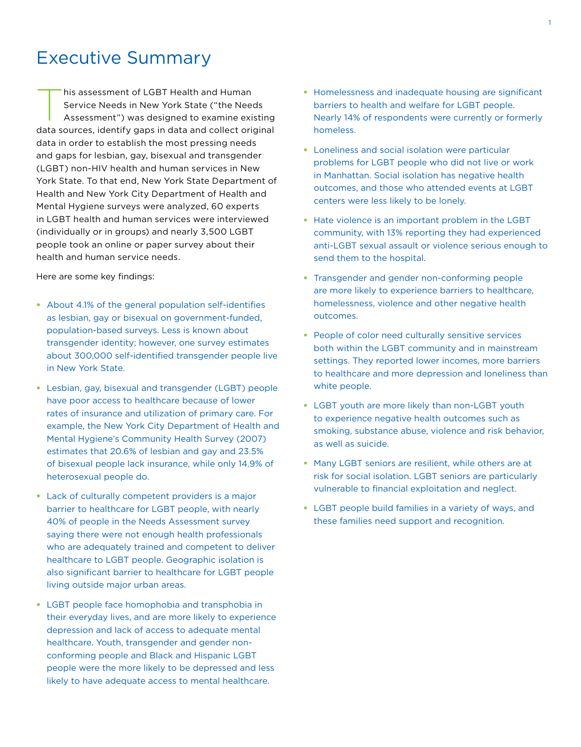## Executive Summary

This assessment of LGBT Health and Human<br>Service Needs in New York State ("the Needs<br>Assessment") was designed to examine existing Service Needs in New York State ("the Needs data sources, identify gaps in data and collect original data in order to establish the most pressing needs and gaps for lesbian, gay, bisexual and transgender (LGBT) non-HIV health and human services in New York State. To that end, New York State Department of Health and New York City Department of Health and Mental Hygiene surveys were analyzed, 60 experts in LGBT health and human services were interviewed (individually or in groups) and nearly 3,500 LGBT people took an online or paper survey about their health and human service needs.

Here are some key findings:

- About 4.1% of the general population self-identifies as lesbian, gay or bisexual on government-funded, population-based surveys. Less is known about transgender identity; however, one survey estimates about 300,000 self-identified transgender people live in New York State.
- Lesbian, gay, bisexual and transgender (LGBT) people have poor access to healthcare because of lower rates of insurance and utilization of primary care. For example, the New York City Department of Health and Mental Hygiene's Community Health Survey (2007) estimates that 20.6% of lesbian and gay and 23.5% of bisexual people lack insurance, while only 14.9% of heterosexual people do.
- Lack of culturally competent providers is a major barrier to healthcare for LGBT people, with nearly 40% of people in the Needs Assessment survey saying there were not enough health professionals who are adequately trained and competent to deliver healthcare to LGBT people. Geographic isolation is also significant barrier to healthcare for LGBT people living outside major urban areas.
- LGBT people face homophobia and transphobia in their everyday lives, and are more likely to experience depression and lack of access to adequate mental healthcare. Youth, transgender and gender nonconforming people and Black and Hispanic LGBT people were the more likely to be depressed and less likely to have adequate access to mental healthcare.
- Homelessness and inadequate housing are significant barriers to health and welfare for LGBT people. Nearly 14% of respondents were currently or formerly homeless.
- Loneliness and social isolation were particular problems for LGBT people who did not live or work in Manhattan. Social isolation has negative health outcomes, and those who attended events at LGBT centers were less likely to be lonely.
- Hate violence is an important problem in the LGBT community, with 13% reporting they had experienced anti-LGBT sexual assault or violence serious enough to send them to the hospital.
- Transgender and gender non-conforming people are more likely to experience barriers to healthcare, homelessness, violence and other negative health outcomes.
- People of color need culturally sensitive services both within the LGBT community and in mainstream settings. They reported lower incomes, more barriers to healthcare and more depression and loneliness than white people.
- LGBT youth are more likely than non-LGBT youth to experience negative health outcomes such as smoking, substance abuse, violence and risk behavior, as well as suicide.
- Many LGBT seniors are resilient, while others are at risk for social isolation. LGBT seniors are particularly vulnerable to financial exploitation and neglect.
- LGBT people build families in a variety of ways, and these families need support and recognition.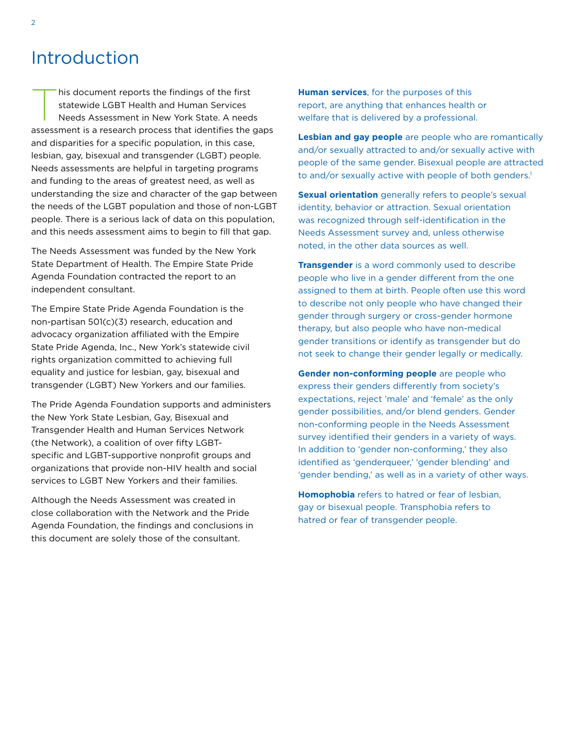## Introduction

This document reports the findings of the first<br>statewide LGBT Health and Human Services<br>Needs Assessment in New York State. A needs statewide LGBT Health and Human Services assessment is a research process that identifies the gaps and disparities for a specific population, in this case, lesbian, gay, bisexual and transgender (LGBT) people. Needs assessments are helpful in targeting programs and funding to the areas of greatest need, as well as understanding the size and character of the gap between the needs of the LGBT population and those of non-LGBT people. There is a serious lack of data on this population, and this needs assessment aims to begin to fill that gap.

The Needs Assessment was funded by the New York State Department of Health. The Empire State Pride Agenda Foundation contracted the report to an independent consultant.

The Empire State Pride Agenda Foundation is the non-partisan 501(c)(3) research, education and advocacy organization affiliated with the Empire State Pride Agenda, Inc., New York's statewide civil rights organization committed to achieving full equality and justice for lesbian, gay, bisexual and transgender (LGBT) New Yorkers and our families.

The Pride Agenda Foundation supports and administers the New York State Lesbian, Gay, Bisexual and Transgender Health and Human Services Network (the Network), a coalition of over fifty LGBTspecific and LGBT-supportive nonprofit groups and organizations that provide non-HIV health and social services to LGBT New Yorkers and their families.

Although the Needs Assessment was created in close collaboration with the Network and the Pride Agenda Foundation, the findings and conclusions in this document are solely those of the consultant.

**Human services**, for the purposes of this report, are anything that enhances health or welfare that is delivered by a professional.

**Lesbian and gay people** are people who are romantically and/or sexually attracted to and/or sexually active with people of the same gender. Bisexual people are attracted to and/or sexually active with people of both genders.<sup>1</sup>

**Sexual orientation** generally refers to people's sexual identity, behavior or attraction. Sexual orientation was recognized through self-identification in the Needs Assessment survey and, unless otherwise noted, in the other data sources as well.

**Transgender** is a word commonly used to describe people who live in a gender different from the one assigned to them at birth. People often use this word to describe not only people who have changed their gender through surgery or cross-gender hormone therapy, but also people who have non-medical gender transitions or identify as transgender but do not seek to change their gender legally or medically.

**Gender non-conforming people** are people who express their genders differently from society's expectations, reject 'male' and 'female' as the only gender possibilities, and/or blend genders. Gender non-conforming people in the Needs Assessment survey identified their genders in a variety of ways. In addition to 'gender non-conforming,' they also identified as 'genderqueer,' 'gender blending' and 'gender bending,' as well as in a variety of other ways.

**Homophobia** refers to hatred or fear of lesbian, gay or bisexual people. Transphobia refers to hatred or fear of transgender people.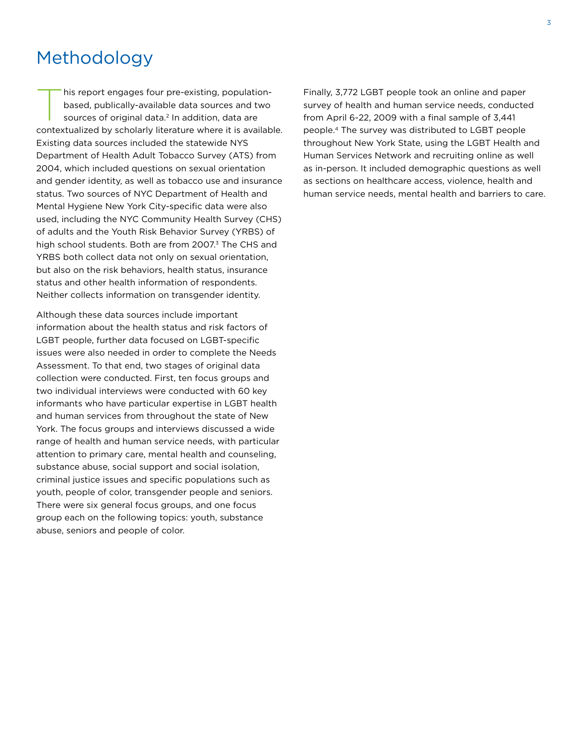## Methodology

his report engages four pre-existing, population-<br>based, publically-available data sources and two<br>sources of original data.<sup>2</sup> In addition, data are based, publically-available data sources and two sources of original data.<sup>2</sup> In addition, data are contextualized by scholarly literature where it is available. Existing data sources included the statewide NYS Department of Health Adult Tobacco Survey (ATS) from 2004, which included questions on sexual orientation and gender identity, as well as tobacco use and insurance status. Two sources of NYC Department of Health and Mental Hygiene New York City-specific data were also used, including the NYC Community Health Survey (CHS) of adults and the Youth Risk Behavior Survey (YRBS) of high school students. Both are from 2007.<sup>3</sup> The CHS and YRBS both collect data not only on sexual orientation, but also on the risk behaviors, health status, insurance status and other health information of respondents. Neither collects information on transgender identity.

Although these data sources include important information about the health status and risk factors of LGBT people, further data focused on LGBT-specific issues were also needed in order to complete the Needs Assessment. To that end, two stages of original data collection were conducted. First, ten focus groups and two individual interviews were conducted with 60 key informants who have particular expertise in LGBT health and human services from throughout the state of New York. The focus groups and interviews discussed a wide range of health and human service needs, with particular attention to primary care, mental health and counseling, substance abuse, social support and social isolation, criminal justice issues and specific populations such as youth, people of color, transgender people and seniors. There were six general focus groups, and one focus group each on the following topics: youth, substance abuse, seniors and people of color.

Finally, 3,772 LGBT people took an online and paper survey of health and human service needs, conducted from April 6-22, 2009 with a final sample of 3,441 people.4 The survey was distributed to LGBT people throughout New York State, using the LGBT Health and Human Services Network and recruiting online as well as in-person. It included demographic questions as well as sections on healthcare access, violence, health and human service needs, mental health and barriers to care.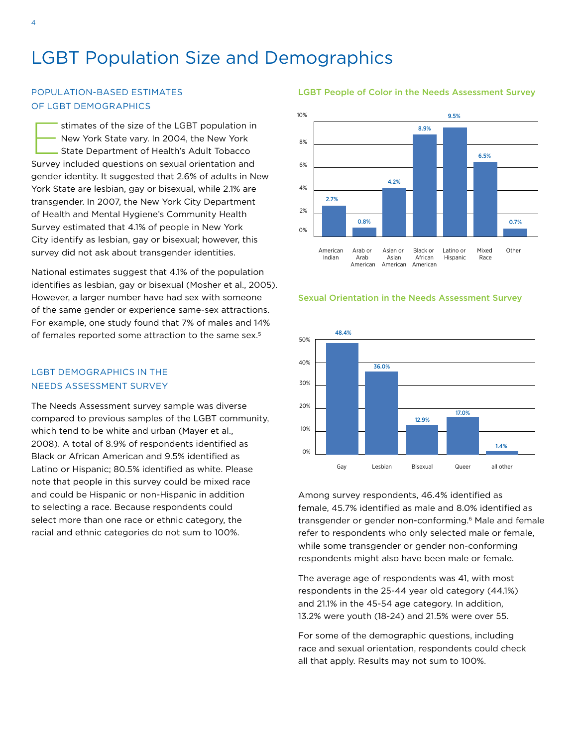## LGBT Population Size and Demographics

## Population-based Estimates of LGBT Demographics

Stimates of the size of the LGBT population in<br>New York State vary. In 2004, the New York<br>State Department of Health's Adult Tobacco New York State vary. In 2004, the New York Survey included questions on sexual orientation and gender identity. It suggested that 2.6% of adults in New York State are lesbian, gay or bisexual, while 2.1% are transgender. In 2007, the New York City Department of Health and Mental Hygiene's Community Health Survey estimated that 4.1% of people in New York City identify as lesbian, gay or bisexual; however, this survey did not ask about transgender identities.

National estimates suggest that 4.1% of the population identifies as lesbian, gay or bisexual (Mosher et al., 2005). However, a larger number have had sex with someone of the same gender or experience same-sex attractions. For example, one study found that 7% of males and 14% of females reported some attraction to the same sex.<sup>5</sup>

## LGBT Demographics in the Needs Assessment Survey

The Needs Assessment survey sample was diverse compared to previous samples of the LGBT community, which tend to be white and urban (Mayer et al., 2008). A total of 8.9% of respondents identified as Black or African American and 9.5% identified as Latino or Hispanic; 80.5% identified as white. Please note that people in this survey could be mixed race and could be Hispanic or non-Hispanic in addition to selecting a race. Because respondents could select more than one race or ethnic category, the racial and ethnic categories do not sum to 100%.

### LGBT People of Color in the Needs Assessment Survey







Among survey respondents, 46.4% identified as female, 45.7% identified as male and 8.0% identified as transgender or gender non-conforming.<sup>6</sup> Male and female refer to respondents who only selected male or female, while some transgender or gender non-conforming respondents might also have been male or female.

The average age of respondents was 41, with most respondents in the 25-44 year old category (44.1%) and 21.1% in the 45-54 age category. In addition, 13.2% were youth (18-24) and 21.5% were over 55.

For some of the demographic questions, including race and sexual orientation, respondents could check all that apply. Results may not sum to 100%.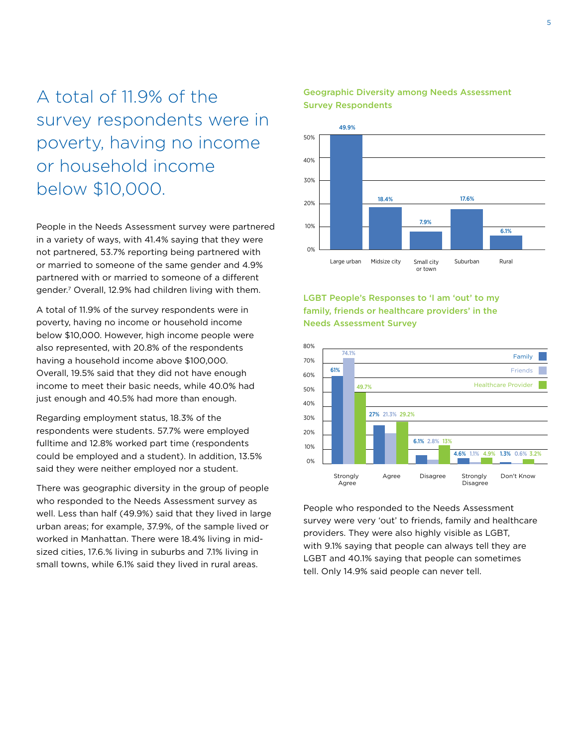A total of 11.9% of the survey respondents were in poverty, having no income or household income below \$10,000.

People in the Needs Assessment survey were partnered in a variety of ways, with 41.4% saying that they were not partnered, 53.7% reporting being partnered with or married to someone of the same gender and 4.9% partnered with or married to someone of a different gender.7 Overall, 12.9% had children living with them.

A total of 11.9% of the survey respondents were in poverty, having no income or household income below \$10,000. However, high income people were also represented, with 20.8% of the respondents having a household income above \$100,000. Overall, 19.5% said that they did not have enough income to meet their basic needs, while 40.0% had just enough and 40.5% had more than enough.

Regarding employment status, 18.3% of the respondents were students. 57.7% were employed fulltime and 12.8% worked part time (respondents could be employed and a student). In addition, 13.5% said they were neither employed nor a student.

There was geographic diversity in the group of people who responded to the Needs Assessment survey as well. Less than half (49.9%) said that they lived in large urban areas; for example, 37.9%, of the sample lived or worked in Manhattan. There were 18.4% living in midsized cities, 17.6.% living in suburbs and 7.1% living in small towns, while 6.1% said they lived in rural areas.



## Geographic Diversity among Needs Assessment Survey Respondents

LGBT People's Responses to 'I am 'out' to my family, friends or healthcare providers' in the Needs Assessment Survey



People who responded to the Needs Assessment survey were very 'out' to friends, family and healthcare providers. They were also highly visible as LGBT, with 9.1% saying that people can always tell they are LGBT and 40.1% saying that people can sometimes tell. Only 14.9% said people can never tell.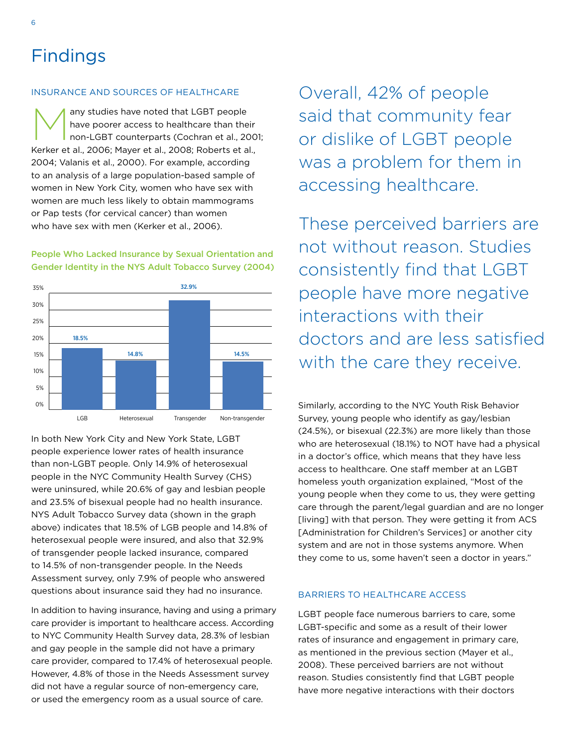6

### Insurance and Sources of Healthcare

any studies have noted that LGBT people<br>have poorer access to healthcare than the<br>non-LGBT counterparts (Cochran et al., 2 have poorer access to healthcare than their non-LGBT counterparts (Cochran et al., 2001; Kerker et al., 2006; Mayer et al., 2008; Roberts et al., 2004; Valanis et al., 2000). For example, according to an analysis of a large population-based sample of women in New York City, women who have sex with women are much less likely to obtain mammograms or Pap tests (for cervical cancer) than women who have sex with men (Kerker et al., 2006).

## People Who Lacked Insurance by Sexual Orientation and Gender Identity in the NYS Adult Tobacco Survey (2004)



In both New York City and New York State, LGBT people experience lower rates of health insurance than non-LGBT people. Only 14.9% of heterosexual people in the NYC Community Health Survey (CHS) were uninsured, while 20.6% of gay and lesbian people and 23.5% of bisexual people had no health insurance. NYS Adult Tobacco Survey data (shown in the graph above) indicates that 18.5% of LGB people and 14.8% of heterosexual people were insured, and also that 32.9% of transgender people lacked insurance, compared to 14.5% of non-transgender people. In the Needs Assessment survey, only 7.9% of people who answered questions about insurance said they had no insurance.

In addition to having insurance, having and using a primary care provider is important to healthcare access. According to NYC Community Health Survey data, 28.3% of lesbian and gay people in the sample did not have a primary care provider, compared to 17.4% of heterosexual people. However, 4.8% of those in the Needs Assessment survey did not have a regular source of non-emergency care, or used the emergency room as a usual source of care.

Overall, 42% of people said that community fear or dislike of LGBT people was a problem for them in accessing healthcare.

These perceived barriers are not without reason. Studies consistently find that LGBT people have more negative interactions with their doctors and are less satisfied with the care they receive.

Similarly, according to the NYC Youth Risk Behavior Survey, young people who identify as gay/lesbian (24.5%), or bisexual (22.3%) are more likely than those who are heterosexual (18.1%) to NOT have had a physical in a doctor's office, which means that they have less access to healthcare. One staff member at an LGBT homeless youth organization explained, "Most of the young people when they come to us, they were getting care through the parent/legal guardian and are no longer [living] with that person. They were getting it from ACS [Administration for Children's Services] or another city system and are not in those systems anymore. When they come to us, some haven't seen a doctor in years."

## Barriers to Healthcare Access

LGBT people face numerous barriers to care, some LGBT-specific and some as a result of their lower rates of insurance and engagement in primary care, as mentioned in the previous section (Mayer et al., 2008). These perceived barriers are not without reason. Studies consistently find that LGBT people have more negative interactions with their doctors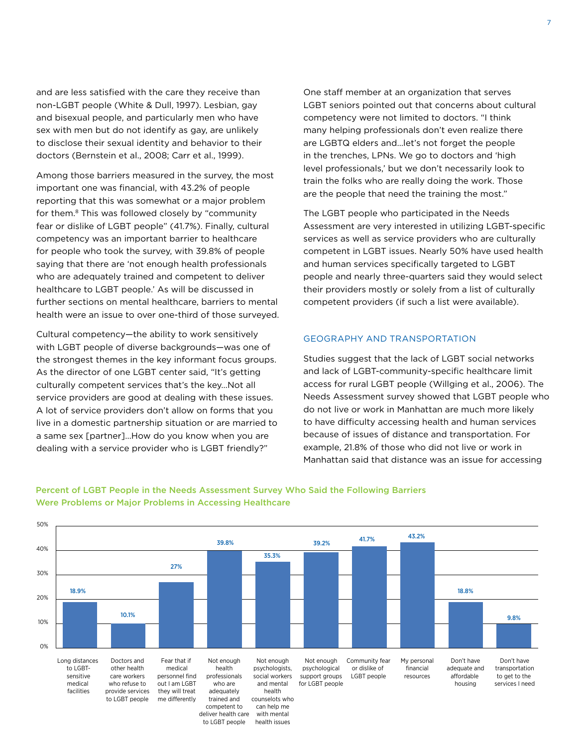and are less satisfied with the care they receive than non-LGBT people (White & Dull, 1997). Lesbian, gay and bisexual people, and particularly men who have sex with men but do not identify as gay, are unlikely to disclose their sexual identity and behavior to their doctors (Bernstein et al., 2008; Carr et al., 1999).

Among those barriers measured in the survey, the most important one was financial, with 43.2% of people reporting that this was somewhat or a major problem for them.<sup>8</sup> This was followed closely by "community fear or dislike of LGBT people" (41.7%). Finally, cultural competency was an important barrier to healthcare for people who took the survey, with 39.8% of people saying that there are 'not enough health professionals who are adequately trained and competent to deliver healthcare to LGBT people.' As will be discussed in further sections on mental healthcare, barriers to mental health were an issue to over one-third of those surveyed.

Cultural competency—the ability to work sensitively with LGBT people of diverse backgrounds—was one of the strongest themes in the key informant focus groups. As the director of one LGBT center said, "It's getting culturally competent services that's the key…Not all service providers are good at dealing with these issues. A lot of service providers don't allow on forms that you live in a domestic partnership situation or are married to a same sex [partner]…How do you know when you are dealing with a service provider who is LGBT friendly?"

One staff member at an organization that serves LGBT seniors pointed out that concerns about cultural competency were not limited to doctors. "I think many helping professionals don't even realize there are LGBTQ elders and…let's not forget the people in the trenches, LPNs. We go to doctors and 'high level professionals,' but we don't necessarily look to train the folks who are really doing the work. Those are the people that need the training the most."

The LGBT people who participated in the Needs Assessment are very interested in utilizing LGBT-specific services as well as service providers who are culturally competent in LGBT issues. Nearly 50% have used health and human services specifically targeted to LGBT people and nearly three-quarters said they would select their providers mostly or solely from a list of culturally competent providers (if such a list were available).

### Geography and Transportation

Studies suggest that the lack of LGBT social networks and lack of LGBT-community-specific healthcare limit access for rural LGBT people (Willging et al., 2006). The Needs Assessment survey showed that LGBT people who do not live or work in Manhattan are much more likely to have difficulty accessing health and human services because of issues of distance and transportation. For example, 21.8% of those who did not live or work in Manhattan said that distance was an issue for accessing



## Percent of LGBT People in the Needs Assessment Survey Who Said the Following Barriers Were Problems or Major Problems in Accessing Healthcare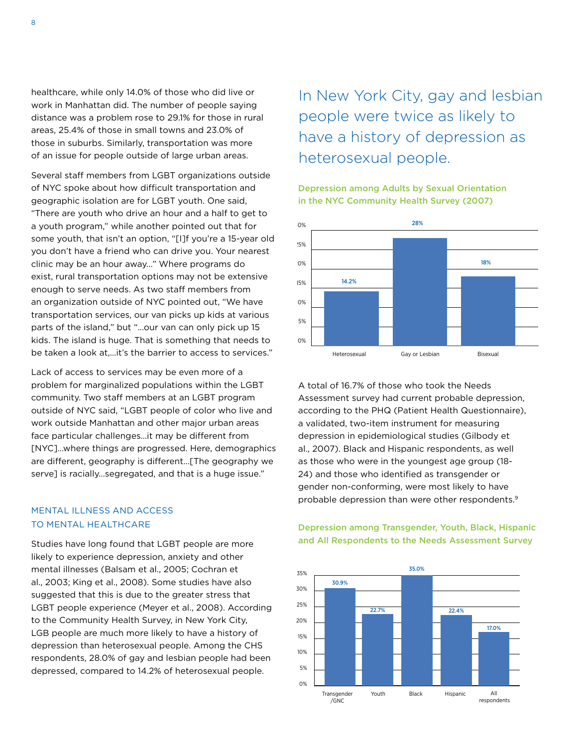healthcare, while only 14.0% of those who did live or work in Manhattan did. The number of people saying distance was a problem rose to 29.1% for those in rural areas, 25.4% of those in small towns and 23.0% of those in suburbs. Similarly, transportation was more of an issue for people outside of large urban areas.

Several staff members from LGBT organizations outside of NYC spoke about how difficult transportation and geographic isolation are for LGBT youth. One said, "There are youth who drive an hour and a half to get to a youth program," while another pointed out that for some youth, that isn't an option, "[I]f you're a 15-year old you don't have a friend who can drive you. Your nearest clinic may be an hour away..." Where programs do exist, rural transportation options may not be extensive enough to serve needs. As two staff members from an organization outside of NYC pointed out, "We have transportation services, our van picks up kids at various parts of the island," but "…our van can only pick up 15 kids. The island is huge. That is something that needs to be taken a look at,…it's the barrier to access to services."

Lack of access to services may be even more of a problem for marginalized populations within the LGBT community. Two staff members at an LGBT program outside of NYC said, "LGBT people of color who live and work outside Manhattan and other major urban areas face particular challenges…it may be different from [NYC]…where things are progressed. Here, demographics are different, geography is different…[The geography we serve] is racially…segregated, and that is a huge issue."

## Mental Illness and Access to Mental Healthcare

Studies have long found that LGBT people are more likely to experience depression, anxiety and other mental illnesses (Balsam et al., 2005; Cochran et al., 2003; King et al., 2008). Some studies have also suggested that this is due to the greater stress that LGBT people experience (Meyer et al., 2008). According to the Community Health Survey, in New York City, LGB people are much more likely to have a history of depression than heterosexual people. Among the CHS respondents, 28.0% of gay and lesbian people had been depressed, compared to 14.2% of heterosexual people.

In New York City, gay and lesbian people were twice as likely to have a history of depression as heterosexual people.

Depression among Adults by Sexual Orientation in the NYC Community Health Survey (2007)



A total of 16.7% of those who took the Needs Assessment survey had current probable depression, according to the PHQ (Patient Health Questionnaire), a validated, two-item instrument for measuring depression in epidemiological studies (Gilbody et al., 2007). Black and Hispanic respondents, as well as those who were in the youngest age group (18- 24) and those who identified as transgender or gender non-conforming, were most likely to have probable depression than were other respondents.<sup>9</sup>

Depression among Transgender, Youth, Black, Hispanic and All Respondents to the Needs Assessment Survey

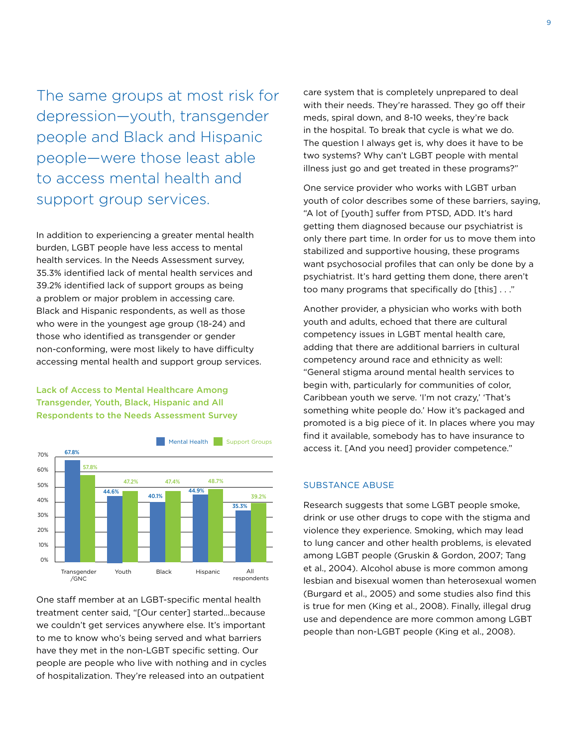The same groups at most risk for depression—youth, transgender people and Black and Hispanic people—were those least able to access mental health and support group services.

In addition to experiencing a greater mental health burden, LGBT people have less access to mental health services. In the Needs Assessment survey, 35.3% identified lack of mental health services and 39.2% identified lack of support groups as being a problem or major problem in accessing care. Black and Hispanic respondents, as well as those who were in the youngest age group (18-24) and those who identified as transgender or gender non-conforming, were most likely to have difficulty accessing mental health and support group services.

Lack of Access to Mental Healthcare Among Transgender, Youth, Black, Hispanic and All Respondents to the Needs Assessment Survey



One staff member at an LGBT-specific mental health treatment center said, "[Our center] started…because we couldn't get services anywhere else. It's important to me to know who's being served and what barriers have they met in the non-LGBT specific setting. Our people are people who live with nothing and in cycles of hospitalization. They're released into an outpatient

care system that is completely unprepared to deal with their needs. They're harassed. They go off their meds, spiral down, and 8-10 weeks, they're back in the hospital. To break that cycle is what we do. The question I always get is, why does it have to be two systems? Why can't LGBT people with mental illness just go and get treated in these programs?"

One service provider who works with LGBT urban youth of color describes some of these barriers, saying, "A lot of [youth] suffer from PTSD, ADD. It's hard getting them diagnosed because our psychiatrist is only there part time. In order for us to move them into stabilized and supportive housing, these programs want psychosocial profiles that can only be done by a psychiatrist. It's hard getting them done, there aren't too many programs that specifically do [this] . . ."

Another provider, a physician who works with both youth and adults, echoed that there are cultural competency issues in LGBT mental health care, adding that there are additional barriers in cultural competency around race and ethnicity as well: "General stigma around mental health services to begin with, particularly for communities of color, Caribbean youth we serve. 'I'm not crazy,' 'That's something white people do.' How it's packaged and promoted is a big piece of it. In places where you may find it available, somebody has to have insurance to access it. [And you need] provider competence."

### Substance Abuse

Research suggests that some LGBT people smoke, drink or use other drugs to cope with the stigma and violence they experience. Smoking, which may lead to lung cancer and other health problems, is elevated among LGBT people (Gruskin & Gordon, 2007; Tang et al., 2004). Alcohol abuse is more common among lesbian and bisexual women than heterosexual women (Burgard et al., 2005) and some studies also find this is true for men (King et al., 2008). Finally, illegal drug use and dependence are more common among LGBT people than non-LGBT people (King et al., 2008).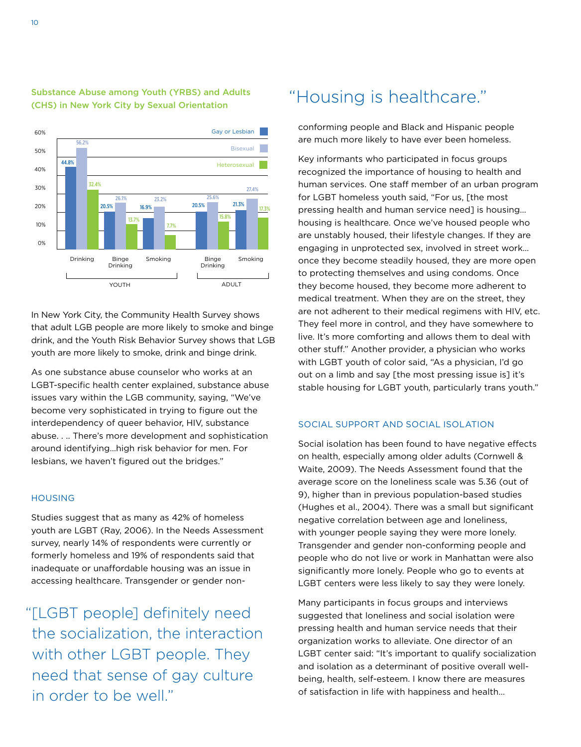

## Substance Abuse among Youth (YRBS) and Adults (CHS) in New York City by Sexual Orientation

In New York City, the Community Health Survey shows that adult LGB people are more likely to smoke and binge drink, and the Youth Risk Behavior Survey shows that LGB youth are more likely to smoke, drink and binge drink.

As one substance abuse counselor who works at an LGBT-specific health center explained, substance abuse issues vary within the LGB community, saying, "We've become very sophisticated in trying to figure out the interdependency of queer behavior, HIV, substance abuse. . .. There's more development and sophistication around identifying…high risk behavior for men. For lesbians, we haven't figured out the bridges."

## **HOUSING**

Studies suggest that as many as 42% of homeless youth are LGBT (Ray, 2006). In the Needs Assessment survey, nearly 14% of respondents were currently or formerly homeless and 19% of respondents said that inadequate or unaffordable housing was an issue in accessing healthcare. Transgender or gender non-

"[LGBT people] definitely need the socialization, the interaction with other LGBT people. They need that sense of gay culture in order to be well."

## "Housing is healthcare."

conforming people and Black and Hispanic people are much more likely to have ever been homeless.

Key informants who participated in focus groups recognized the importance of housing to health and human services. One staff member of an urban program for LGBT homeless youth said, "For us, [the most pressing health and human service need] is housing… housing is healthcare. Once we've housed people who are unstably housed, their lifestyle changes. If they are engaging in unprotected sex, involved in street work… once they become steadily housed, they are more open to protecting themselves and using condoms. Once they become housed, they become more adherent to medical treatment. When they are on the street, they are not adherent to their medical regimens with HIV, etc. They feel more in control, and they have somewhere to live. It's more comforting and allows them to deal with other stuff." Another provider, a physician who works with LGBT youth of color said, "As a physician, I'd go out on a limb and say [the most pressing issue is] it's stable housing for LGBT youth, particularly trans youth."

#### Social Support and Social Isolation

Social isolation has been found to have negative effects on health, especially among older adults (Cornwell & Waite, 2009). The Needs Assessment found that the average score on the loneliness scale was 5.36 (out of 9), higher than in previous population-based studies (Hughes et al., 2004). There was a small but significant negative correlation between age and loneliness, with younger people saying they were more lonely. Transgender and gender non-conforming people and people who do not live or work in Manhattan were also significantly more lonely. People who go to events at LGBT centers were less likely to say they were lonely.

Many participants in focus groups and interviews suggested that loneliness and social isolation were pressing health and human service needs that their organization works to alleviate. One director of an LGBT center said: "It's important to qualify socialization and isolation as a determinant of positive overall wellbeing, health, self-esteem. I know there are measures of satisfaction in life with happiness and health…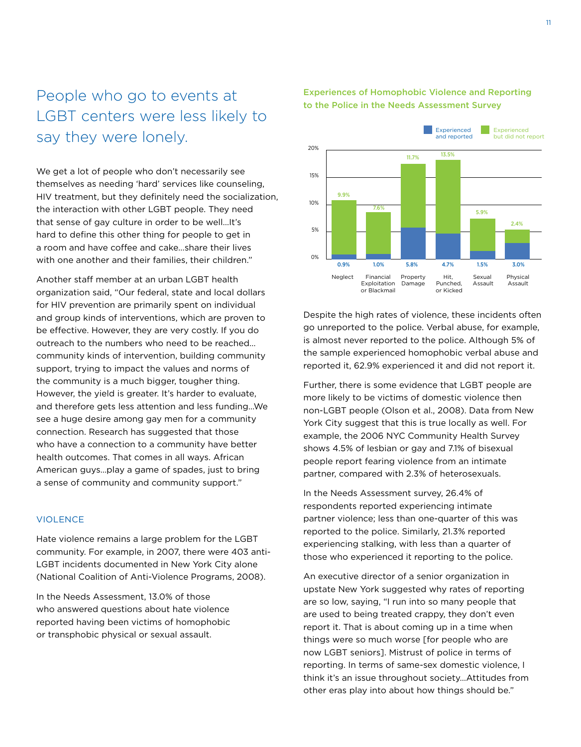## People who go to events at LGBT centers were less likely to say they were lonely.

We get a lot of people who don't necessarily see themselves as needing 'hard' services like counseling, HIV treatment, but they definitely need the socialization, the interaction with other LGBT people. They need that sense of gay culture in order to be well…It's hard to define this other thing for people to get in a room and have coffee and cake…share their lives with one another and their families, their children."

Another staff member at an urban LGBT health organization said, "Our federal, state and local dollars for HIV prevention are primarily spent on individual and group kinds of interventions, which are proven to be effective. However, they are very costly. If you do outreach to the numbers who need to be reached… community kinds of intervention, building community support, trying to impact the values and norms of the community is a much bigger, tougher thing. However, the yield is greater. It's harder to evaluate, and therefore gets less attention and less funding…We see a huge desire among gay men for a community connection. Research has suggested that those who have a connection to a community have better health outcomes. That comes in all ways. African American guys…play a game of spades, just to bring a sense of community and community support."

### **VIOLENCE**

Hate violence remains a large problem for the LGBT community. For example, in 2007, there were 403 anti-LGBT incidents documented in New York City alone (National Coalition of Anti-Violence Programs, 2008).

In the Needs Assessment, 13.0% of those who answered questions about hate violence reported having been victims of homophobic or transphobic physical or sexual assault.

Experiences of Homophobic Violence and Reporting to the Police in the Needs Assessment Survey



Despite the high rates of violence, these incidents often go unreported to the police. Verbal abuse, for example, is almost never reported to the police. Although 5% of the sample experienced homophobic verbal abuse and reported it, 62.9% experienced it and did not report it.

Further, there is some evidence that LGBT people are more likely to be victims of domestic violence then non-LGBT people (Olson et al., 2008). Data from New York City suggest that this is true locally as well. For example, the 2006 NYC Community Health Survey shows 4.5% of lesbian or gay and 7.1% of bisexual people report fearing violence from an intimate partner, compared with 2.3% of heterosexuals.

In the Needs Assessment survey, 26.4% of respondents reported experiencing intimate partner violence; less than one-quarter of this was reported to the police. Similarly, 21.3% reported experiencing stalking, with less than a quarter of those who experienced it reporting to the police.

An executive director of a senior organization in upstate New York suggested why rates of reporting are so low, saying, "I run into so many people that are used to being treated crappy, they don't even report it. That is about coming up in a time when things were so much worse [for people who are now LGBT seniors]. Mistrust of police in terms of reporting. In terms of same-sex domestic violence, I think it's an issue throughout society…Attitudes from other eras play into about how things should be."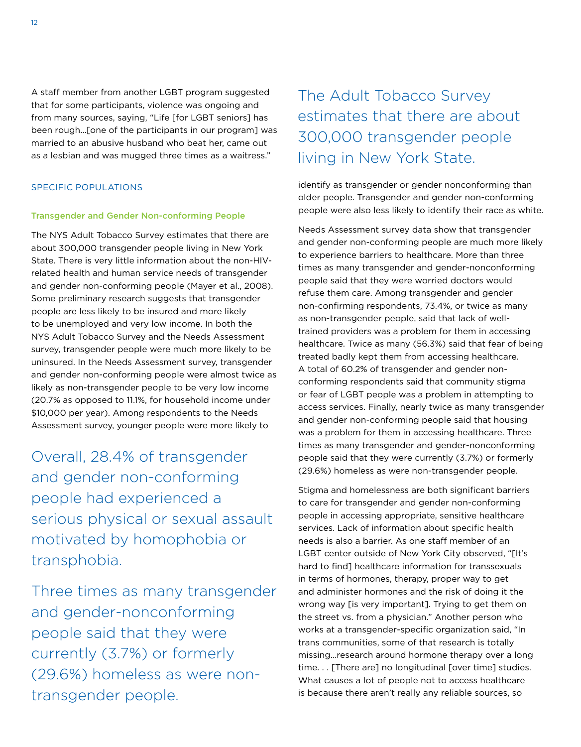A staff member from another LGBT program suggested that for some participants, violence was ongoing and from many sources, saying, "Life [for LGBT seniors] has been rough…[one of the participants in our program] was married to an abusive husband who beat her, came out as a lesbian and was mugged three times as a waitress."

## Specific Populations

### Transgender and Gender Non-conforming People

The NYS Adult Tobacco Survey estimates that there are about 300,000 transgender people living in New York State. There is very little information about the non-HIVrelated health and human service needs of transgender and gender non-conforming people (Mayer et al., 2008). Some preliminary research suggests that transgender people are less likely to be insured and more likely to be unemployed and very low income. In both the NYS Adult Tobacco Survey and the Needs Assessment survey, transgender people were much more likely to be uninsured. In the Needs Assessment survey, transgender and gender non-conforming people were almost twice as likely as non-transgender people to be very low income (20.7% as opposed to 11.1%, for household income under \$10,000 per year). Among respondents to the Needs Assessment survey, younger people were more likely to

Overall, 28.4% of transgender and gender non-conforming people had experienced a serious physical or sexual assault motivated by homophobia or transphobia.

Three times as many transgender and gender-nonconforming people said that they were currently (3.7%) or formerly (29.6%) homeless as were nontransgender people.

The Adult Tobacco Survey estimates that there are about 300,000 transgender people living in New York State.

identify as transgender or gender nonconforming than older people. Transgender and gender non-conforming people were also less likely to identify their race as white.

Needs Assessment survey data show that transgender and gender non-conforming people are much more likely to experience barriers to healthcare. More than three times as many transgender and gender-nonconforming people said that they were worried doctors would refuse them care. Among transgender and gender non-confirming respondents, 73.4%, or twice as many as non-transgender people, said that lack of welltrained providers was a problem for them in accessing healthcare. Twice as many (56.3%) said that fear of being treated badly kept them from accessing healthcare. A total of 60.2% of transgender and gender nonconforming respondents said that community stigma or fear of LGBT people was a problem in attempting to access services. Finally, nearly twice as many transgender and gender non-conforming people said that housing was a problem for them in accessing healthcare. Three times as many transgender and gender-nonconforming people said that they were currently (3.7%) or formerly (29.6%) homeless as were non-transgender people.

Stigma and homelessness are both significant barriers to care for transgender and gender non-conforming people in accessing appropriate, sensitive healthcare services. Lack of information about specific health needs is also a barrier. As one staff member of an LGBT center outside of New York City observed, "[It's hard to find] healthcare information for transsexuals in terms of hormones, therapy, proper way to get and administer hormones and the risk of doing it the wrong way [is very important]. Trying to get them on the street vs. from a physician." Another person who works at a transgender-specific organization said, "In trans communities, some of that research is totally missing…research around hormone therapy over a long time. . . [There are] no longitudinal [over time] studies. What causes a lot of people not to access healthcare is because there aren't really any reliable sources, so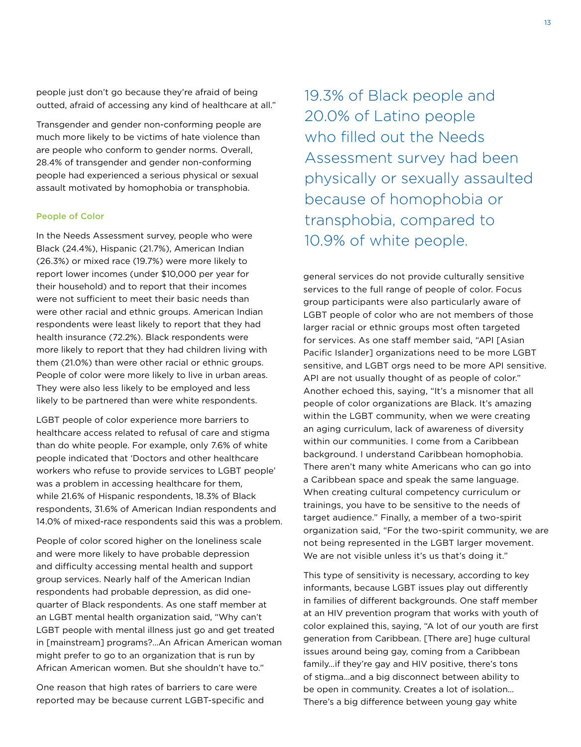people just don't go because they're afraid of being outted, afraid of accessing any kind of healthcare at all."

Transgender and gender non-conforming people are much more likely to be victims of hate violence than are people who conform to gender norms. Overall, 28.4% of transgender and gender non-conforming people had experienced a serious physical or sexual assault motivated by homophobia or transphobia.

#### People of Color

In the Needs Assessment survey, people who were Black (24.4%), Hispanic (21.7%), American Indian (26.3%) or mixed race (19.7%) were more likely to report lower incomes (under \$10,000 per year for their household) and to report that their incomes were not sufficient to meet their basic needs than were other racial and ethnic groups. American Indian respondents were least likely to report that they had health insurance (72.2%). Black respondents were more likely to report that they had children living with them (21.0%) than were other racial or ethnic groups. People of color were more likely to live in urban areas. They were also less likely to be employed and less likely to be partnered than were white respondents.

LGBT people of color experience more barriers to healthcare access related to refusal of care and stigma than do white people. For example, only 7.6% of white people indicated that 'Doctors and other healthcare workers who refuse to provide services to LGBT people' was a problem in accessing healthcare for them, while 21.6% of Hispanic respondents, 18.3% of Black respondents, 31.6% of American Indian respondents and 14.0% of mixed-race respondents said this was a problem.

People of color scored higher on the loneliness scale and were more likely to have probable depression and difficulty accessing mental health and support group services. Nearly half of the American Indian respondents had probable depression, as did onequarter of Black respondents. As one staff member at an LGBT mental health organization said, "Why can't LGBT people with mental illness just go and get treated in [mainstream] programs?…An African American woman might prefer to go to an organization that is run by African American women. But she shouldn't have to."

One reason that high rates of barriers to care were reported may be because current LGBT-specific and 19.3% of Black people and 20.0% of Latino people who filled out the Needs Assessment survey had been physically or sexually assaulted because of homophobia or transphobia, compared to 10.9% of white people.

general services do not provide culturally sensitive services to the full range of people of color. Focus group participants were also particularly aware of LGBT people of color who are not members of those larger racial or ethnic groups most often targeted for services. As one staff member said, "API [Asian Pacific Islander] organizations need to be more LGBT sensitive, and LGBT orgs need to be more API sensitive. API are not usually thought of as people of color." Another echoed this, saying, "It's a misnomer that all people of color organizations are Black. It's amazing within the LGBT community, when we were creating an aging curriculum, lack of awareness of diversity within our communities. I come from a Caribbean background. I understand Caribbean homophobia. There aren't many white Americans who can go into a Caribbean space and speak the same language. When creating cultural competency curriculum or trainings, you have to be sensitive to the needs of target audience." Finally, a member of a two-spirit organization said, "For the two-spirit community, we are not being represented in the LGBT larger movement. We are not visible unless it's us that's doing it."

This type of sensitivity is necessary, according to key informants, because LGBT issues play out differently in families of different backgrounds. One staff member at an HIV prevention program that works with youth of color explained this, saying, "A lot of our youth are first generation from Caribbean. [There are] huge cultural issues around being gay, coming from a Caribbean family…if they're gay and HIV positive, there's tons of stigma…and a big disconnect between ability to be open in community. Creates a lot of isolation… There's a big difference between young gay white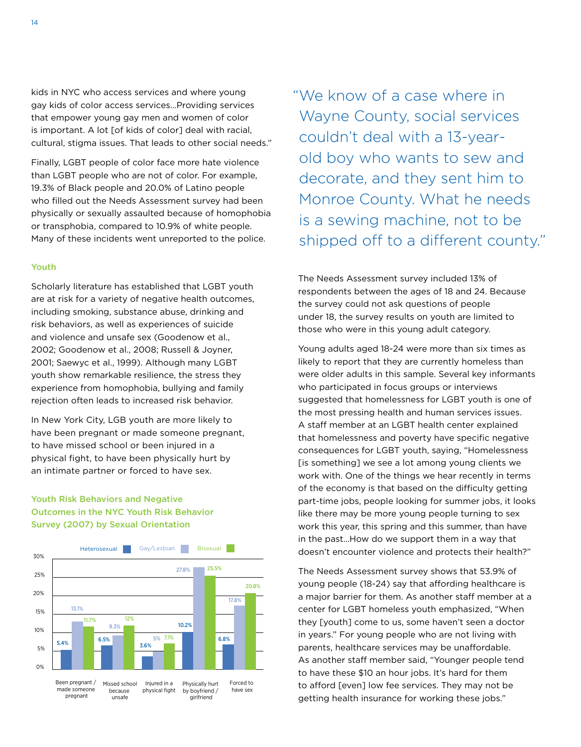kids in NYC who access services and where young gay kids of color access services…Providing services that empower young gay men and women of color is important. A lot [of kids of color] deal with racial, cultural, stigma issues. That leads to other social needs."

Finally, LGBT people of color face more hate violence than LGBT people who are not of color. For example, 19.3% of Black people and 20.0% of Latino people who filled out the Needs Assessment survey had been physically or sexually assaulted because of homophobia or transphobia, compared to 10.9% of white people. Many of these incidents went unreported to the police.

### Youth

Scholarly literature has established that LGBT youth are at risk for a variety of negative health outcomes, including smoking, substance abuse, drinking and risk behaviors, as well as experiences of suicide and violence and unsafe sex (Goodenow et al., 2002; Goodenow et al., 2008; Russell & Joyner, 2001; Saewyc et al., 1999). Although many LGBT youth show remarkable resilience, the stress they experience from homophobia, bullying and family rejection often leads to increased risk behavior.

In New York City, LGB youth are more likely to have been pregnant or made someone pregnant, to have missed school or been injured in a physical fight, to have been physically hurt by an intimate partner or forced to have sex.

## Youth Risk Behaviors and Negative Outcomes in the NYC Youth Risk Behavior Survey (2007) by Sexual Orientation



"We know of a case where in Wayne County, social services couldn't deal with a 13-yearold boy who wants to sew and decorate, and they sent him to Monroe County. What he needs is a sewing machine, not to be shipped off to a different county."

The Needs Assessment survey included 13% of respondents between the ages of 18 and 24. Because the survey could not ask questions of people under 18, the survey results on youth are limited to those who were in this young adult category.

Young adults aged 18-24 were more than six times as likely to report that they are currently homeless than were older adults in this sample. Several key informants who participated in focus groups or interviews suggested that homelessness for LGBT youth is one of the most pressing health and human services issues. A staff member at an LGBT health center explained that homelessness and poverty have specific negative consequences for LGBT youth, saying, "Homelessness [is something] we see a lot among young clients we work with. One of the things we hear recently in terms of the economy is that based on the difficulty getting part-time jobs, people looking for summer jobs, it looks like there may be more young people turning to sex work this year, this spring and this summer, than have in the past…How do we support them in a way that doesn't encounter violence and protects their health?"

The Needs Assessment survey shows that 53.9% of young people (18-24) say that affording healthcare is a major barrier for them. As another staff member at a center for LGBT homeless youth emphasized, "When they [youth] come to us, some haven't seen a doctor in years." For young people who are not living with parents, healthcare services may be unaffordable. As another staff member said, "Younger people tend to have these \$10 an hour jobs. It's hard for them to afford [even] low fee services. They may not be getting health insurance for working these jobs."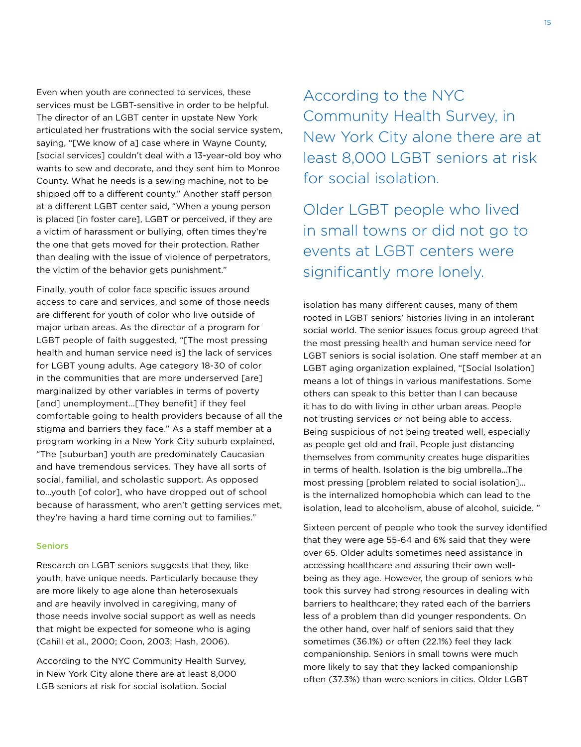Even when youth are connected to services, these services must be LGBT-sensitive in order to be helpful. The director of an LGBT center in upstate New York articulated her frustrations with the social service system, saying, "[We know of a] case where in Wayne County, [social services] couldn't deal with a 13-year-old boy who wants to sew and decorate, and they sent him to Monroe County. What he needs is a sewing machine, not to be shipped off to a different county." Another staff person at a different LGBT center said, "When a young person is placed [in foster care], LGBT or perceived, if they are a victim of harassment or bullying, often times they're the one that gets moved for their protection. Rather than dealing with the issue of violence of perpetrators, the victim of the behavior gets punishment."

Finally, youth of color face specific issues around access to care and services, and some of those needs are different for youth of color who live outside of major urban areas. As the director of a program for LGBT people of faith suggested, "[The most pressing health and human service need is] the lack of services for LGBT young adults. Age category 18-30 of color in the communities that are more underserved [are] marginalized by other variables in terms of poverty [and] unemployment...[They benefit] if they feel comfortable going to health providers because of all the stigma and barriers they face." As a staff member at a program working in a New York City suburb explained, "The [suburban] youth are predominately Caucasian and have tremendous services. They have all sorts of social, familial, and scholastic support. As opposed to…youth [of color], who have dropped out of school because of harassment, who aren't getting services met, they're having a hard time coming out to families."

#### Seniors

Research on LGBT seniors suggests that they, like youth, have unique needs. Particularly because they are more likely to age alone than heterosexuals and are heavily involved in caregiving, many of those needs involve social support as well as needs that might be expected for someone who is aging (Cahill et al., 2000; Coon, 2003; Hash, 2006).

According to the NYC Community Health Survey, in New York City alone there are at least 8,000 LGB seniors at risk for social isolation. Social

According to the NYC Community Health Survey, in New York City alone there are at least 8,000 LGBT seniors at risk for social isolation.

Older LGBT people who lived in small towns or did not go to events at LGBT centers were significantly more lonely.

isolation has many different causes, many of them rooted in LGBT seniors' histories living in an intolerant social world. The senior issues focus group agreed that the most pressing health and human service need for LGBT seniors is social isolation. One staff member at an LGBT aging organization explained, "[Social Isolation] means a lot of things in various manifestations. Some others can speak to this better than I can because it has to do with living in other urban areas. People not trusting services or not being able to access. Being suspicious of not being treated well, especially as people get old and frail. People just distancing themselves from community creates huge disparities in terms of health. Isolation is the big umbrella…The most pressing [problem related to social isolation]… is the internalized homophobia which can lead to the isolation, lead to alcoholism, abuse of alcohol, suicide. "

Sixteen percent of people who took the survey identified that they were age 55-64 and 6% said that they were over 65. Older adults sometimes need assistance in accessing healthcare and assuring their own wellbeing as they age. However, the group of seniors who took this survey had strong resources in dealing with barriers to healthcare; they rated each of the barriers less of a problem than did younger respondents. On the other hand, over half of seniors said that they sometimes (36.1%) or often (22.1%) feel they lack companionship. Seniors in small towns were much more likely to say that they lacked companionship often (37.3%) than were seniors in cities. Older LGBT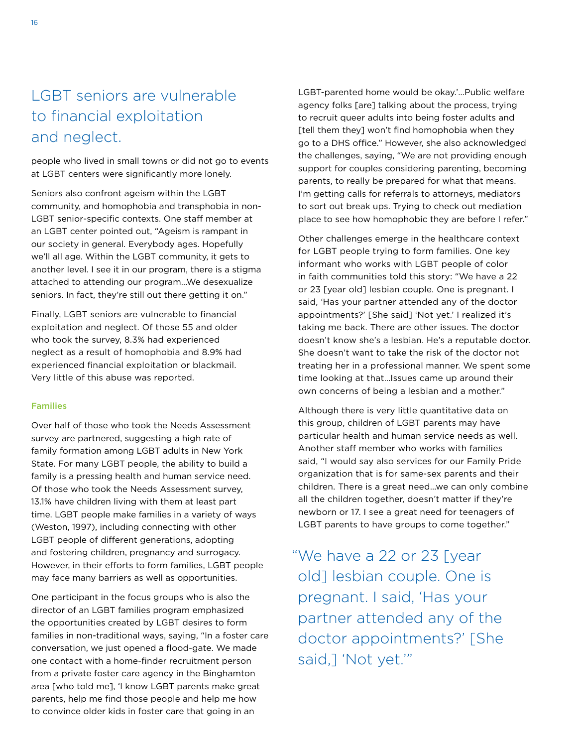## LGBT seniors are vulnerable to financial exploitation and neglect.

people who lived in small towns or did not go to events at LGBT centers were significantly more lonely.

Seniors also confront ageism within the LGBT community, and homophobia and transphobia in non-LGBT senior-specific contexts. One staff member at an LGBT center pointed out, "Ageism is rampant in our society in general. Everybody ages. Hopefully we'll all age. Within the LGBT community, it gets to another level. I see it in our program, there is a stigma attached to attending our program…We desexualize seniors. In fact, they're still out there getting it on."

Finally, LGBT seniors are vulnerable to financial exploitation and neglect. Of those 55 and older who took the survey, 8.3% had experienced neglect as a result of homophobia and 8.9% had experienced financial exploitation or blackmail. Very little of this abuse was reported.

#### Families

Over half of those who took the Needs Assessment survey are partnered, suggesting a high rate of family formation among LGBT adults in New York State. For many LGBT people, the ability to build a family is a pressing health and human service need. Of those who took the Needs Assessment survey, 13.1% have children living with them at least part time. LGBT people make families in a variety of ways (Weston, 1997), including connecting with other LGBT people of different generations, adopting and fostering children, pregnancy and surrogacy. However, in their efforts to form families, LGBT people may face many barriers as well as opportunities.

One participant in the focus groups who is also the director of an LGBT families program emphasized the opportunities created by LGBT desires to form families in non-traditional ways, saying, "In a foster care conversation, we just opened a flood-gate. We made one contact with a home-finder recruitment person from a private foster care agency in the Binghamton area [who told me], 'I know LGBT parents make great parents, help me find those people and help me how to convince older kids in foster care that going in an

LGBT-parented home would be okay.'…Public welfare agency folks [are] talking about the process, trying to recruit queer adults into being foster adults and [tell them they] won't find homophobia when they go to a DHS office." However, she also acknowledged the challenges, saying, "We are not providing enough support for couples considering parenting, becoming parents, to really be prepared for what that means. I'm getting calls for referrals to attorneys, mediators to sort out break ups. Trying to check out mediation place to see how homophobic they are before I refer."

Other challenges emerge in the healthcare context for LGBT people trying to form families. One key informant who works with LGBT people of color in faith communities told this story: "We have a 22 or 23 [year old] lesbian couple. One is pregnant. I said, 'Has your partner attended any of the doctor appointments?' [She said] 'Not yet.' I realized it's taking me back. There are other issues. The doctor doesn't know she's a lesbian. He's a reputable doctor. She doesn't want to take the risk of the doctor not treating her in a professional manner. We spent some time looking at that…Issues came up around their own concerns of being a lesbian and a mother."

Although there is very little quantitative data on this group, children of LGBT parents may have particular health and human service needs as well. Another staff member who works with families said, "I would say also services for our Family Pride organization that is for same-sex parents and their children. There is a great need…we can only combine all the children together, doesn't matter if they're newborn or 17. I see a great need for teenagers of LGBT parents to have groups to come together."

"We have a 22 or 23 [year old] lesbian couple. One is pregnant. I said, 'Has your partner attended any of the doctor appointments?' [She said,] 'Not yet.'"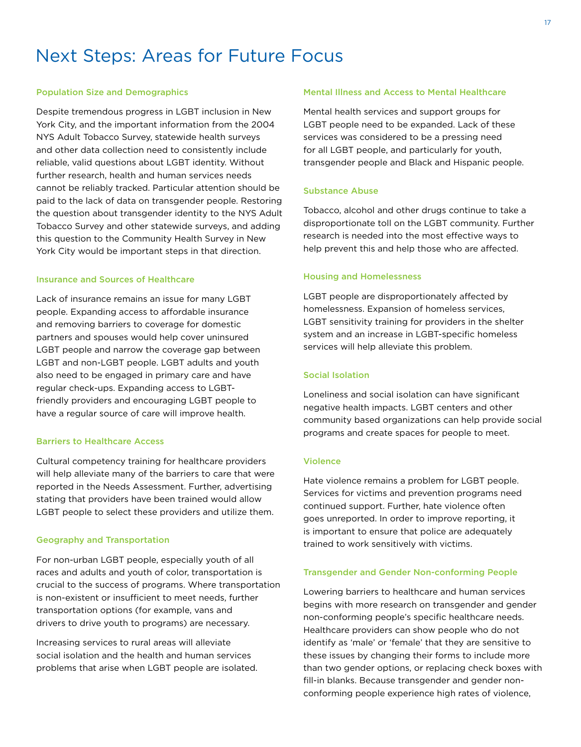## Next Steps: Areas for Future Focus

#### Population Size and Demographics

Despite tremendous progress in LGBT inclusion in New York City, and the important information from the 2004 NYS Adult Tobacco Survey, statewide health surveys and other data collection need to consistently include reliable, valid questions about LGBT identity. Without further research, health and human services needs cannot be reliably tracked. Particular attention should be paid to the lack of data on transgender people. Restoring the question about transgender identity to the NYS Adult Tobacco Survey and other statewide surveys, and adding this question to the Community Health Survey in New York City would be important steps in that direction.

## Insurance and Sources of Healthcare

Lack of insurance remains an issue for many LGBT people. Expanding access to affordable insurance and removing barriers to coverage for domestic partners and spouses would help cover uninsured LGBT people and narrow the coverage gap between LGBT and non-LGBT people. LGBT adults and youth also need to be engaged in primary care and have regular check-ups. Expanding access to LGBTfriendly providers and encouraging LGBT people to have a regular source of care will improve health.

#### Barriers to Healthcare Access

Cultural competency training for healthcare providers will help alleviate many of the barriers to care that were reported in the Needs Assessment. Further, advertising stating that providers have been trained would allow LGBT people to select these providers and utilize them.

#### Geography and Transportation

For non-urban LGBT people, especially youth of all races and adults and youth of color, transportation is crucial to the success of programs. Where transportation is non-existent or insufficient to meet needs, further transportation options (for example, vans and drivers to drive youth to programs) are necessary.

Increasing services to rural areas will alleviate social isolation and the health and human services problems that arise when LGBT people are isolated.

#### Mental Illness and Access to Mental Healthcare

Mental health services and support groups for LGBT people need to be expanded. Lack of these services was considered to be a pressing need for all LGBT people, and particularly for youth, transgender people and Black and Hispanic people.

#### Substance Abuse

Tobacco, alcohol and other drugs continue to take a disproportionate toll on the LGBT community. Further research is needed into the most effective ways to help prevent this and help those who are affected.

#### Housing and Homelessness

LGBT people are disproportionately affected by homelessness. Expansion of homeless services, LGBT sensitivity training for providers in the shelter system and an increase in LGBT-specific homeless services will help alleviate this problem.

#### Social Isolation

Loneliness and social isolation can have significant negative health impacts. LGBT centers and other community based organizations can help provide social programs and create spaces for people to meet.

#### Violence

Hate violence remains a problem for LGBT people. Services for victims and prevention programs need continued support. Further, hate violence often goes unreported. In order to improve reporting, it is important to ensure that police are adequately trained to work sensitively with victims.

#### Transgender and Gender Non-conforming People

Lowering barriers to healthcare and human services begins with more research on transgender and gender non-conforming people's specific healthcare needs. Healthcare providers can show people who do not identify as 'male' or 'female' that they are sensitive to these issues by changing their forms to include more than two gender options, or replacing check boxes with fill-in blanks. Because transgender and gender nonconforming people experience high rates of violence,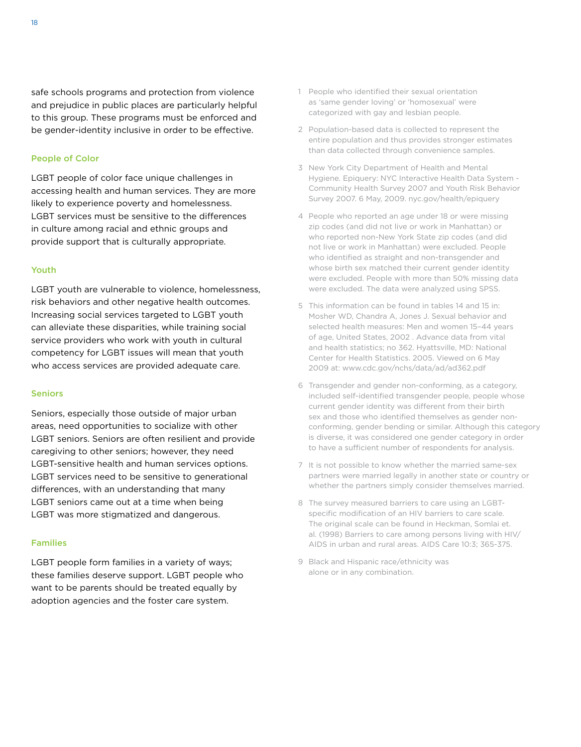safe schools programs and protection from violence and prejudice in public places are particularly helpful to this group. These programs must be enforced and be gender-identity inclusive in order to be effective.

### People of Color

LGBT people of color face unique challenges in accessing health and human services. They are more likely to experience poverty and homelessness. LGBT services must be sensitive to the differences in culture among racial and ethnic groups and provide support that is culturally appropriate.

### Youth

LGBT youth are vulnerable to violence, homelessness, risk behaviors and other negative health outcomes. Increasing social services targeted to LGBT youth can alleviate these disparities, while training social service providers who work with youth in cultural competency for LGBT issues will mean that youth who access services are provided adequate care.

### **Seniors**

Seniors, especially those outside of major urban areas, need opportunities to socialize with other LGBT seniors. Seniors are often resilient and provide caregiving to other seniors; however, they need LGBT-sensitive health and human services options. LGBT services need to be sensitive to generational differences, with an understanding that many LGBT seniors came out at a time when being LGBT was more stigmatized and dangerous.

### Families

LGBT people form families in a variety of ways; these families deserve support. LGBT people who want to be parents should be treated equally by adoption agencies and the foster care system.

- 1 People who identified their sexual orientation as 'same gender loving' or 'homosexual' were categorized with gay and lesbian people.
- 2 Population-based data is collected to represent the entire population and thus provides stronger estimates than data collected through convenience samples.
- 3 New York City Department of Health and Mental Hygiene. Epiquery: NYC Interactive Health Data System - Community Health Survey 2007 and Youth Risk Behavior Survey 2007. 6 May, 2009. nyc.gov/health/epiquery
- 4 People who reported an age under 18 or were missing zip codes (and did not live or work in Manhattan) or who reported non-New York State zip codes (and did not live or work in Manhattan) were excluded. People who identified as straight and non-transgender and whose birth sex matched their current gender identity were excluded. People with more than 50% missing data were excluded. The data were analyzed using SPSS.
- 5 This information can be found in tables 14 and 15 in: Mosher WD, Chandra A, Jones J. Sexual behavior and selected health measures: Men and women 15–44 years of age, United States, 2002 . Advance data from vital and health statistics; no 362. Hyattsville, MD: National Center for Health Statistics. 2005. Viewed on 6 May 2009 at: www.cdc.gov/nchs/data/ad/ad362.pdf
- 6 Transgender and gender non-conforming, as a category, included self-identified transgender people, people whose current gender identity was different from their birth sex and those who identified themselves as gender nonconforming, gender bending or similar. Although this category is diverse, it was considered one gender category in order to have a sufficient number of respondents for analysis.
- 7 It is not possible to know whether the married same-sex partners were married legally in another state or country or whether the partners simply consider themselves married.
- 8 The survey measured barriers to care using an LGBTspecific modification of an HIV barriers to care scale. The original scale can be found in Heckman, Somlai et. al. (1998) Barriers to care among persons living with HIV/ AIDS in urban and rural areas. AIDS Care 10:3; 365-375.
- 9 Black and Hispanic race/ethnicity was alone or in any combination.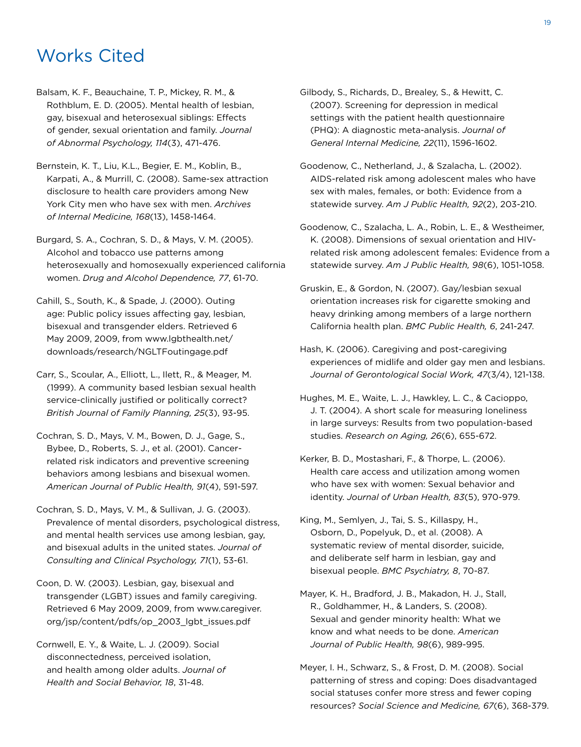## Works Cited

- Balsam, K. F., Beauchaine, T. P., Mickey, R. M., & Rothblum, E. D. (2005). Mental health of lesbian, gay, bisexual and heterosexual siblings: Effects of gender, sexual orientation and family. *Journal of Abnormal Psychology, 114*(3), 471-476.
- Bernstein, K. T., Liu, K.L., Begier, E. M., Koblin, B., Karpati, A., & Murrill, C. (2008). Same-sex attraction disclosure to health care providers among New York City men who have sex with men. *Archives of Internal Medicine, 168*(13), 1458-1464.
- Burgard, S. A., Cochran, S. D., & Mays, V. M. (2005). Alcohol and tobacco use patterns among heterosexually and homosexually experienced california women. *Drug and Alcohol Dependence, 77*, 61-70.
- Cahill, S., South, K., & Spade, J. (2000). Outing age: Public policy issues affecting gay, lesbian, bisexual and transgender elders. Retrieved 6 May 2009, 2009, from www.lgbthealth.net/ downloads/research/NGLTFoutingage.pdf
- Carr, S., Scoular, A., Elliott, L., Ilett, R., & Meager, M. (1999). A community based lesbian sexual health service-clinically justified or politically correct? *British Journal of Family Planning, 25*(3), 93-95.
- Cochran, S. D., Mays, V. M., Bowen, D. J., Gage, S., Bybee, D., Roberts, S. J., et al. (2001). Cancerrelated risk indicators and preventive screening behaviors among lesbians and bisexual women. *American Journal of Public Health, 91*(4), 591-597.
- Cochran, S. D., Mays, V. M., & Sullivan, J. G. (2003). Prevalence of mental disorders, psychological distress, and mental health services use among lesbian, gay, and bisexual adults in the united states. *Journal of Consulting and Clinical Psychology, 71*(1), 53-61.
- Coon, D. W. (2003). Lesbian, gay, bisexual and transgender (LGBT) issues and family caregiving. Retrieved 6 May 2009, 2009, from www.caregiver. org/jsp/content/pdfs/op\_2003\_lgbt\_issues.pdf
- Cornwell, E. Y., & Waite, L. J. (2009). Social disconnectedness, perceived isolation, and health among older adults. *Journal of Health and Social Behavior, 18*, 31-48.
- Gilbody, S., Richards, D., Brealey, S., & Hewitt, C. (2007). Screening for depression in medical settings with the patient health questionnaire (phq): A diagnostic meta-analysis. *Journal of General Internal Medicine, 22*(11), 1596-1602.
- Goodenow, C., Netherland, J., & Szalacha, L. (2002). Aids-related risk among adolescent males who have sex with males, females, or both: Evidence from a statewide survey. *Am J Public Health, 92*(2), 203-210.
- Goodenow, C., Szalacha, L. A., Robin, L. E., & Westheimer, K. (2008). Dimensions of sexual orientation and hivrelated risk among adolescent females: Evidence from a statewide survey. *Am J Public Health, 98*(6), 1051-1058.
- Gruskin, E., & Gordon, N. (2007). Gay/lesbian sexual orientation increases risk for cigarette smoking and heavy drinking among members of a large northern California health plan. *BMC Public Health, 6*, 241-247.
- Hash, K. (2006). Caregiving and post-caregiving experiences of midlife and older gay men and lesbians. *Journal of Gerontological Social Work, 47*(3/4), 121-138.
- Hughes, M. E., Waite, L. J., Hawkley, L. C., & Cacioppo, J. T. (2004). A short scale for measuring loneliness in large surveys: Results from two population-based studies. *Research on Aging, 26*(6), 655-672.
- Kerker, B. D., Mostashari, F., & Thorpe, L. (2006). Health care access and utilization among women who have sex with women: Sexual behavior and identity. *Journal of Urban Health, 83*(5), 970-979.
- King, M., Semlyen, J., Tai, S. S., Killaspy, H., Osborn, D., Popelyuk, D., et al. (2008). A systematic review of mental disorder, suicide, and deliberate self harm in lesbian, gay and bisexual people. *BMC Psychiatry, 8*, 70-87.
- Mayer, K. H., Bradford, J. B., Makadon, H. J., Stall, R., Goldhammer, H., & Landers, S. (2008). Sexual and gender minority health: What we know and what needs to be done. *American Journal of Public Health, 98*(6), 989-995.
- Meyer, I. H., Schwarz, S., & Frost, D. M. (2008). Social patterning of stress and coping: Does disadvantaged social statuses confer more stress and fewer coping resources? *Social Science and Medicine, 67*(6), 368-379.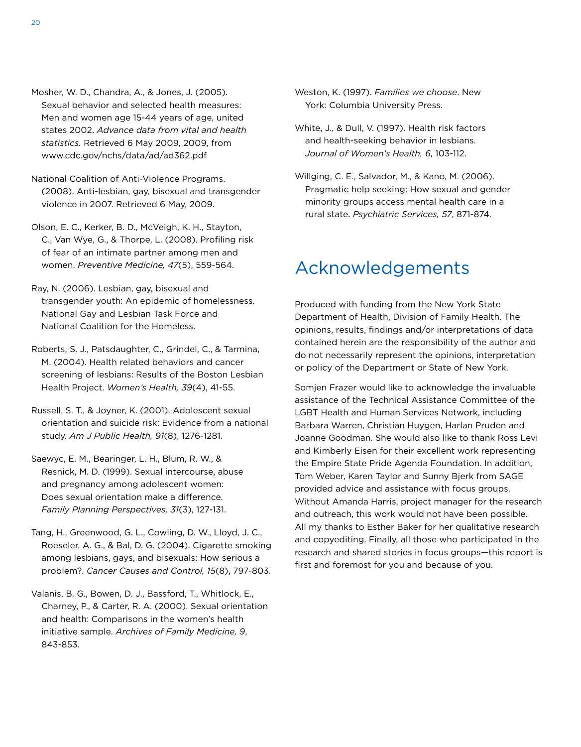- Mosher, W. D., Chandra, A., & Jones, J. (2005). Sexual behavior and selected health measures: Men and women age 15-44 years of age, united states 2002. *Advance data from vital and health statistics.* Retrieved 6 May 2009, 2009, from www.cdc.gov/nchs/data/ad/ad362.pdf
- National Coalition of Anti-Violence Programs. (2008). Anti-lesbian, gay, bisexual and transgender violence in 2007. Retrieved 6 May, 2009.
- Olson, E. C., Kerker, B. D., McVeigh, K. H., Stayton, C., Van Wye, G., & Thorpe, L. (2008). Profiling risk of fear of an intimate partner among men and women. *Preventive Medicine, 47*(5), 559-564.
- Ray, N. (2006). Lesbian, gay, bisexual and transgender youth: An epidemic of homelessness. National Gay and Lesbian Task Force and National Coalition for the Homeless.
- Roberts, S. J., Patsdaughter, C., Grindel, C., & Tarmina, M. (2004). Health related behaviors and cancer screening of lesbians: Results of the Boston Lesbian Health Project. *Women's Health, 39*(4), 41-55.
- Russell, S. T., & Joyner, K. (2001). Adolescent sexual orientation and suicide risk: Evidence from a national study. *Am J Public Health, 91*(8), 1276-1281.
- Saewyc, E. M., Bearinger, L. H., Blum, R. W., & Resnick, M. D. (1999). Sexual intercourse, abuse and pregnancy among adolescent women: Does sexual orientation make a difference. *Family Planning Perspectives, 31*(3), 127-131.
- Tang, H., Greenwood, G. L., Cowling, D. W., Lloyd, J. C., Roeseler, A. G., & Bal, D. G. (2004). Cigarette smoking among lesbians, gays, and bisexuals: How serious a problem?. *Cancer Causes and Control, 15*(8), 797-803.
- Valanis, B. G., Bowen, D. J., Bassford, T., Whitlock, E., Charney, P., & Carter, R. A. (2000). Sexual orientation and health: Comparisons in the women's health initiative sample. *Archives of Family Medicine, 9*, 843-853.
- Weston, K. (1997). *Families we choose*. New York: Columbia University Press.
- White, J., & Dull, V. (1997). Health risk factors and health-seeking behavior in lesbians. *Journal of Women's Health, 6*, 103-112.
- Willging, C. E., Salvador, M., & Kano, M. (2006). Pragmatic help seeking: How sexual and gender minority groups access mental health care in a rural state. *Psychiatric Services, 57*, 871-874.

## Acknowledgements

Produced with funding from the New York State Department of Health, Division of Family Health. The opinions, results, findings and/or interpretations of data contained herein are the responsibility of the author and do not necessarily represent the opinions, interpretation or policy of the Department or State of New York.

Somjen Frazer would like to acknowledge the invaluable assistance of the Technical Assistance Committee of the LGBT Health and Human Services Network, including Barbara Warren, Christian Huygen, Harlan Pruden and Joanne Goodman. She would also like to thank Ross Levi and Kimberly Eisen for their excellent work representing the Empire State Pride Agenda Foundation. In addition, Tom Weber, Karen Taylor and Sunny Bjerk from SAGE provided advice and assistance with focus groups. Without Amanda Harris, project manager for the research and outreach, this work would not have been possible. All my thanks to Esther Baker for her qualitative research and copyediting. Finally, all those who participated in the research and shared stories in focus groups—this report is first and foremost for you and because of you.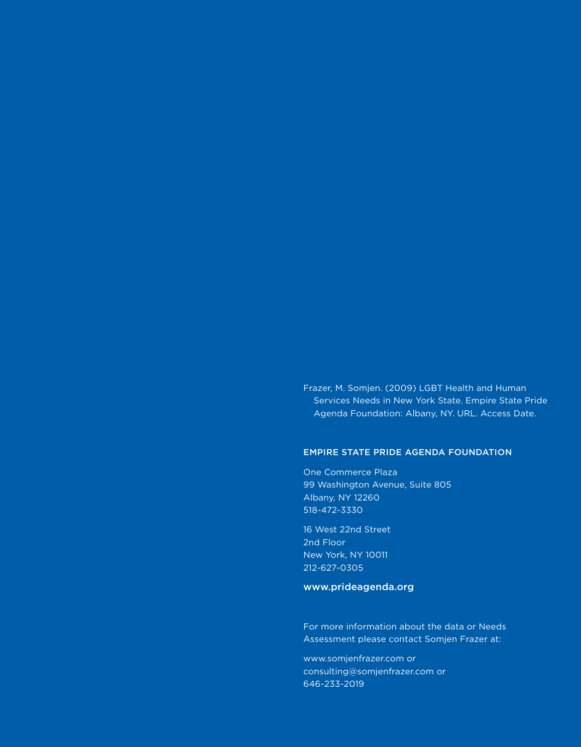Frazer, M. Somjen. (2009) LGBT Health and Human Services Needs in New York State. Empire State Pride Agenda Foundation: Albany, NY. URL. Access Date.

## Empire State Pride Agenda FOUNDATION

One Commerce Plaza 99 Washington Avenue, Suite 805 Albany, NY 12260 518-472-3330

16 West 22nd Street 2nd Floor New York, NY 10011 212-627-0305

## www.prideagenda.org

For more information about the data or Needs Assessment please contact Somjen Frazer at:

www.somjenfrazer.com or consulting@somjenfrazer.com or 646-233-2019